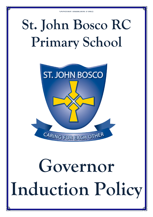## **St. John Bosco RC Primary School**



# **Governor Induction Policy**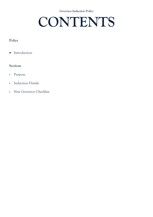**Governor Induction Policy** 

### **CONTENTS**

#### **Policy**

• Introduction

#### **Sections**

- Purpose
- Induction Details
- New Governor Checklist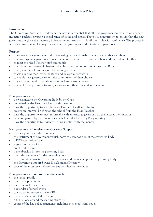#### **Introduction**

The Governing Body and Headteacher believe it is essential that all new governors receive a comprehensive induction package covering a broad range of issues and topics. There is a commitment to ensure that the new governors are given the necessary information and support to fulfil their role with confidence. The process is seen as an investment, leading to more effective governance and retention of governors.

#### **Purpose**

- to welcome new governors to the Governing Body and enable them to meet other members
- to encourage new governors to visit the school to experience its atmosphere and understand its ethos
- to meet the Head Teacher, staff and pupils
- to explain the partnership between the Head Teacher, school and Governing Body
- to explain the role and responsibilities of governors
- to explain how the Governing Body and its committees work
- to enable new governors to join the committee(s) of their choice
- to give background material on the school and current issues
- to enable new governors to ask questions about their role and/or the school.

#### **New governors will:**

- be welcomed to the Governing Body by the Chair
- be invited by the Head Teacher to visit the school
- have the opportunity to tour the school and meet staff and children
- receive an informal briefing on the school from the Head Teacher
- have the opportunity to meet informally with an existing governor who then acts as their mentor
- be accompanied by their mentor to their first full Governing Body meeting
- have the opportunity to review their first meeting with the mentor.

#### **New governors will receive from Governor Support:**

- the new governor induction pack
- the instrument of government which notes the composition of the governing body
- a DBS application form
- a governor details form
- an eligibility form
- a membership list for the governing body
- the code of conduct for the governing body
- the committee structure, terms of reference and membership for the governing body
- the Governor Support Service Development Directory
- copy of the most recent Governor Support Service newsletter

#### **New governors will receive from the school:**

- the school profile
- the school prospectus
- recent school newsletters
- a calendar of school events
- the school improvement plan (SIP)
- the school's latest OfSTED report
- a full list of staff and the staffing structure
- copies of the key policy statements including the school visits policy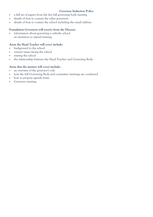#### **Governor Induction Policy**

- a full set of papers from the last full governing body meeting
- details of how to contact the other governors
- details of how to contact the school including the email address.

#### **Foundation Governors will receive from the Diocese:**

 information about governing a catholic school an invitation to attend training

#### **Areas the Head Teacher will cover include:**

- **background to the school**
- current issues facing the school
- visiting the school
- the relationship between the Head Teacher and Governing Body.

#### **Areas that the mentor will cover include:**

- an overview of the governor's role
- how the full Governing Body and committee meetings are conducted
- how to propose agenda items
- Governor training.